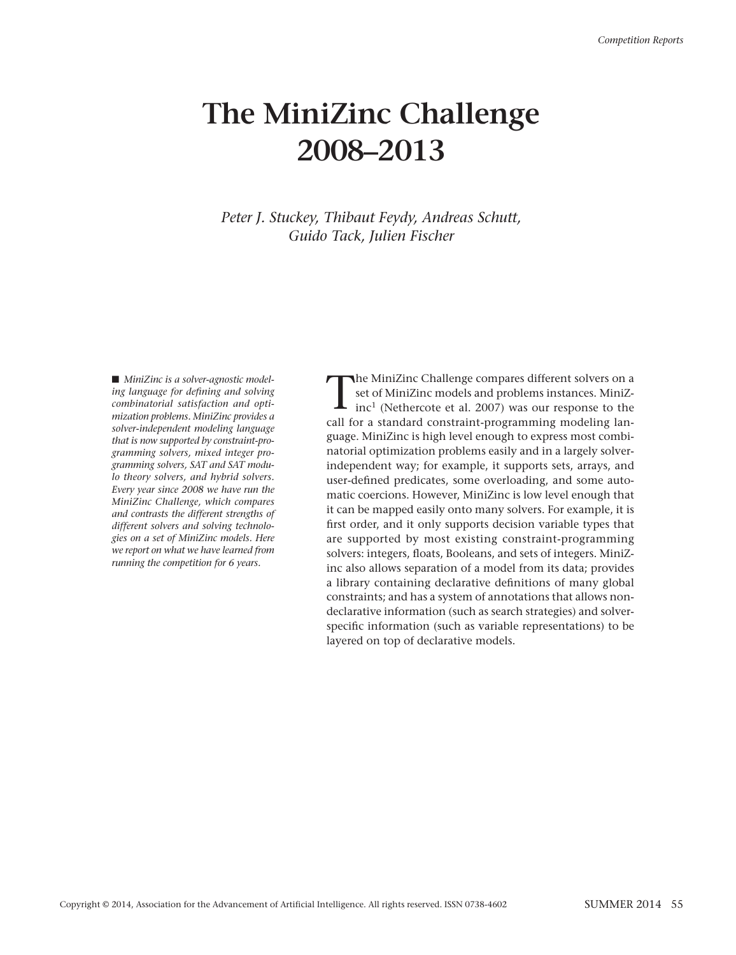# **The MiniZinc Challenge 2008–2013**

*Peter J. Stuckey, Thibaut Feydy, Andreas Schutt, Guido Tack, Julien Fischer*

■ *MiniZinc is a solver-agnostic modeling language for defining and solving combinatorial satisfaction and optimization problems. MiniZinc provides a solver-independent modeling language that is now supported by constraint-programming solvers, mixed integer programming solvers, SAT and SAT modulo theory solvers, and hybrid solvers. Every year since 2008 we have run the MiniZinc Challenge, which compares and contrasts the different strengths of different solvers and solving technologies on a set of MiniZinc models. Here we report on what we have learned from running the competition for 6 years.*

The MiniZinc Challenge compares different solvers on a<br>set of MiniZinc models and problems instances. MiniZ-<br>inc<sup>1</sup> (Nethercote et al. 2007) was our response to the set of MiniZinc models and problems instances. MiniZcall for a standard constraint-programming modeling language. MiniZinc is high level enough to express most combinatorial optimization problems easily and in a largely solverindependent way; for example, it supports sets, arrays, and user-defined predicates, some overloading, and some automatic coercions. However, MiniZinc is low level enough that it can be mapped easily onto many solvers. For example, it is first order, and it only supports decision variable types that are supported by most existing constraint-programming solvers: integers, floats, Booleans, and sets of integers. MiniZinc also allows separation of a model from its data; provides a library containing declarative definitions of many global constraints; and has a system of annotations that allows nondeclarative information (such as search strategies) and solverspecific information (such as variable representations) to be layered on top of declarative models.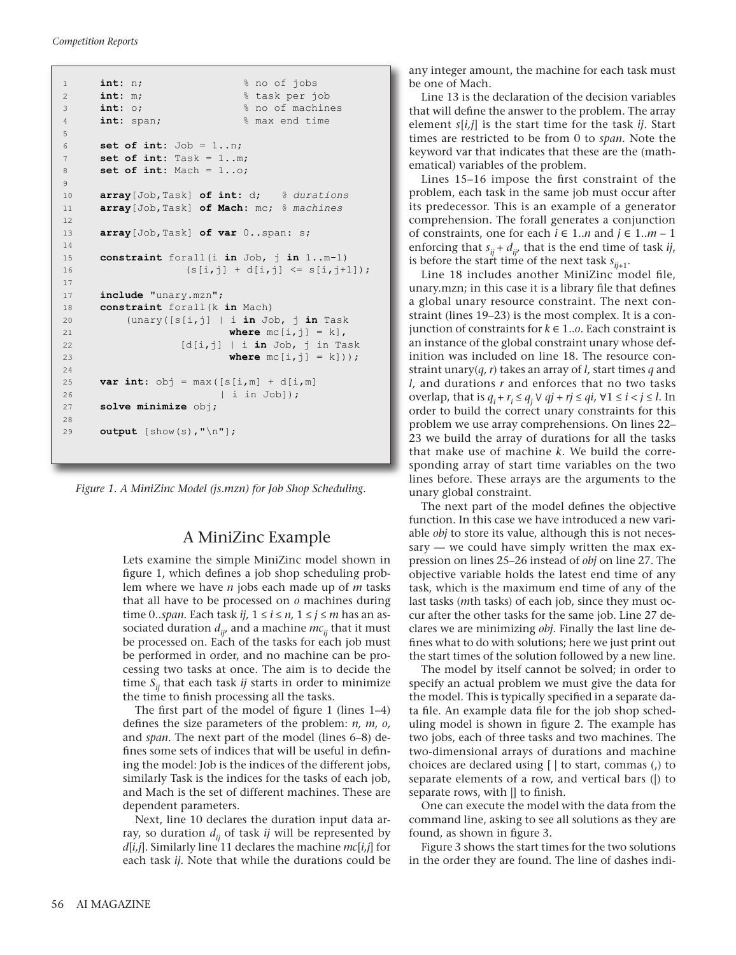```
1 int: n; % no of jobs 
2 int: m; % task per job 
3 int: o; % no of machines 
4 int: span; % max end time 
5 
6 set of int: Job = 1..n; 
7 set of int: Task = 1..m; 
8 set of int: Mach = 1..o; 
\mathsf{Q}10 array[Job,Task] of int: d; % durations
11 array[Job,Task] of Mach: mc; % machines
12 
13 array[Job,Task] of var 0..span: s; 
14 
15 constraint forall(i in Job, j in 1..m-1) 
16 (s[i,j] + d[i,j] \le s[i,j+1]);
17 
17 include "unary.mzn"; 
18 constraint forall(k in Mach) 
20 (unary([s[i,j] | i in Job, j in Task 
21 where mc[i,j] = k,
22 [d[i,j] | i in Job, j in Task 
23 where mc[i,j] = k])); 
24 
25 var int: obj = max([s[i,m] + d[i,m])26 | i in Job]);
27 solve minimize obj; 
28 
29 output [show(s),"\n"];
```
*Figure 1. A MiniZinc Model (js.mzn) for Job Shop Scheduling.*

## A MiniZinc Example

Lets examine the simple MiniZinc model shown in figure 1, which defines a job shop scheduling problem where we have *n* jobs each made up of *m* tasks that all have to be processed on *o* machines during time 0..*span.* Each task *ij,* 1 ≤ *i* ≤ *n,* 1 ≤ *j* ≤ *m* has an associated duration *dij ,* and a machine *mcij* that it must be processed on. Each of the tasks for each job must be performed in order, and no machine can be processing two tasks at once. The aim is to decide the time  $S_{ij}$  that each task  $ij$  starts in order to minimize the time to finish processing all the tasks.

The first part of the model of figure 1 (lines 1–4) defines the size parameters of the problem: *n, m, o,* and *span.* The next part of the model (lines 6–8) defines some sets of indices that will be useful in defining the model: Job is the indices of the different jobs, similarly Task is the indices for the tasks of each job, and Mach is the set of different machines. These are dependent parameters.

Next, line 10 declares the duration input data array, so duration  $d_{ii}$  of task  $ij$  will be represented by *d*[*i,j*]. Similarly line 11 declares the machine *mc*[*i,j*] for each task *ij.* Note that while the durations could be

any integer amount, the machine for each task must be one of Mach.

Line 13 is the declaration of the decision variables that will define the answer to the problem. The array element *s*[*i,j*] is the start time for the task *ij.* Start times are restricted to be from 0 to *span.* Note the keyword var that indicates that these are the (mathematical) variables of the problem.

Lines 15–16 impose the first constraint of the problem, each task in the same job must occur after its predecessor. This is an example of a generator comprehension. The forall generates a conjunction of constraints, one for each *i* ∈ 1..*n* and *j* ∈ 1..*m* – 1 enforcing that  $s_{ij}$  +  $d_{ij'}$ , that is the end time of task *ij*, is before the start time of the next task  $s_{ii+1}$ .

Line 18 includes another MiniZinc model file, unary.mzn; in this case it is a library file that defines a global unary resource constraint. The next constraint (lines 19–23) is the most complex. It is a conjunction of constraints for  $k \in 1..o$ . Each constraint is an instance of the global constraint unary whose definition was included on line 18. The resource constraint unary(*q, r*) takes an array of *l,* start times *q* and *l,* and durations *r* and enforces that no two tasks overlap, that is  $q_i + r_i \leq q_i \vee qi + rj \leq qi$ ,  $\forall 1 \leq i < j \leq l$ . In order to build the correct unary constraints for this problem we use array comprehensions. On lines 22– 23 we build the array of durations for all the tasks that make use of machine *k*. We build the corresponding array of start time variables on the two lines before. These arrays are the arguments to the unary global constraint.

The next part of the model defines the objective function. In this case we have introduced a new variable *obj* to store its value, although this is not necessary — we could have simply written the max expression on lines 25–26 instead of *obj* on line 27. The objective variable holds the latest end time of any task, which is the maximum end time of any of the last tasks (*m*th tasks) of each job, since they must occur after the other tasks for the same job. Line 27 declares we are minimizing *obj*. Finally the last line defines what to do with solutions; here we just print out the start times of the solution followed by a new line.

The model by itself cannot be solved; in order to specify an actual problem we must give the data for the model. This is typically specified in a separate data file. An example data file for the job shop scheduling model is shown in figure 2. The example has two jobs, each of three tasks and two machines. The two-dimensional arrays of durations and machine choices are declared using [ | to start, commas (,) to separate elements of a row, and vertical bars (|) to separate rows, with |] to finish.

One can execute the model with the data from the command line, asking to see all solutions as they are found, as shown in figure 3.

Figure 3 shows the start times for the two solutions in the order they are found. The line of dashes indi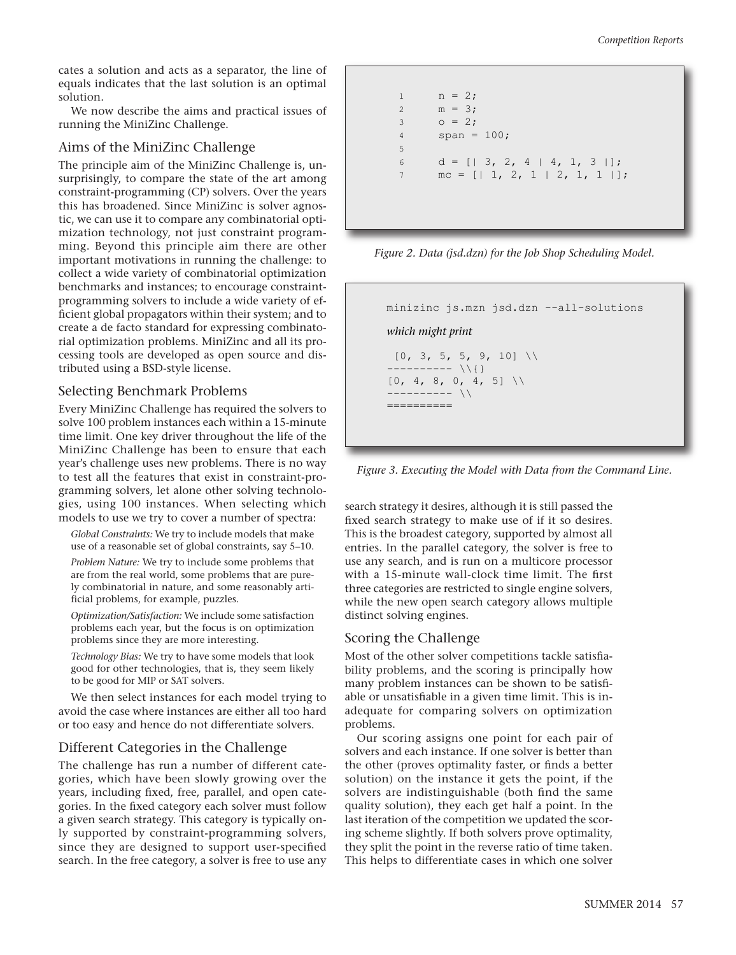cates a solution and acts as a separator, the line of equals indicates that the last solution is an optimal solution.

We now describe the aims and practical issues of running the MiniZinc Challenge.

## Aims of the MiniZinc Challenge

The principle aim of the MiniZinc Challenge is, unsurprisingly, to compare the state of the art among constraint-programming (CP) solvers. Over the years this has broadened. Since MiniZinc is solver agnostic, we can use it to compare any combinatorial optimization technology, not just constraint programming. Beyond this principle aim there are other important motivations in running the challenge: to collect a wide variety of combinatorial optimization benchmarks and instances; to encourage constraintprogramming solvers to include a wide variety of efficient global propagators within their system; and to create a de facto standard for expressing combinatorial optimization problems. MiniZinc and all its processing tools are developed as open source and distributed using a BSD-style license.

## Selecting Benchmark Problems

Every MiniZinc Challenge has required the solvers to solve 100 problem instances each within a 15-minute time limit. One key driver throughout the life of the MiniZinc Challenge has been to ensure that each year's challenge uses new problems. There is no way to test all the features that exist in constraint-programming solvers, let alone other solving technologies, using 100 instances. When selecting which models to use we try to cover a number of spectra:

*Global Constraints:* We try to include models that make use of a reasonable set of global constraints, say 5–10.

*Problem Nature:* We try to include some problems that are from the real world, some problems that are purely combinatorial in nature, and some reasonably artificial problems, for example, puzzles.

*Optimization/Satisfaction:* We include some satisfaction problems each year, but the focus is on optimization problems since they are more interesting.

*Technology Bias:* We try to have some models that look good for other technologies, that is, they seem likely to be good for MIP or SAT solvers.

We then select instances for each model trying to avoid the case where instances are either all too hard or too easy and hence do not differentiate solvers.

## Different Categories in the Challenge

The challenge has run a number of different categories, which have been slowly growing over the years, including fixed, free, parallel, and open categories. In the fixed category each solver must follow a given search strategy. This category is typically only supported by constraint-programming solvers, since they are designed to support user-specified search. In the free category, a solver is free to use any

| $\perp$ | $n = 2;$                         |
|---------|----------------------------------|
| 2       | $m = 3:$                         |
| 3       | $0 = 2:$                         |
| 4       | span = $100$ ;                   |
| 5       |                                  |
| 6       | $d = [1 \ 3, 2, 4 \ 4, 1, 3 \ ]$ |
| 7       | mc = $[1 1, 2, 1 2, 1, 1]$ ;     |
|         |                                  |
|         |                                  |



minizinc js.mzn jsd.dzn --all-solutions

*which might print* 

 $[0, 3, 5, 5, 9, 10]$ ---------- \\{}  $[0, 4, 8, 0, 4, 5]$  \\ ---------- \\ ==========



search strategy it desires, although it is still passed the fixed search strategy to make use of if it so desires. This is the broadest category, supported by almost all entries. In the parallel category, the solver is free to use any search, and is run on a multicore processor with a 15-minute wall-clock time limit. The first three categories are restricted to single engine solvers, while the new open search category allows multiple distinct solving engines.

#### Scoring the Challenge

Most of the other solver competitions tackle satisfiability problems, and the scoring is principally how many problem instances can be shown to be satisfiable or unsatisfiable in a given time limit. This is inadequate for comparing solvers on optimization problems.

Our scoring assigns one point for each pair of solvers and each instance. If one solver is better than the other (proves optimality faster, or finds a better solution) on the instance it gets the point, if the solvers are indistinguishable (both find the same quality solution), they each get half a point. In the last iteration of the competition we updated the scoring scheme slightly. If both solvers prove optimality, they split the point in the reverse ratio of time taken. This helps to differentiate cases in which one solver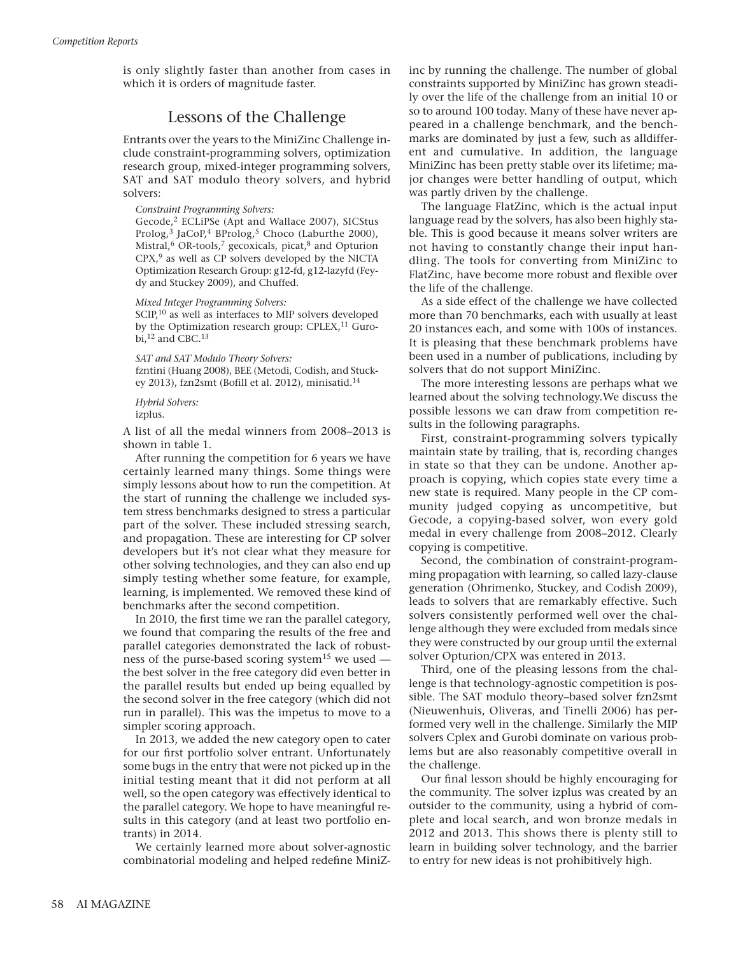is only slightly faster than another from cases in which it is orders of magnitude faster.

## Lessons of the Challenge

Entrants over the years to the MiniZinc Challenge include constraint-programming solvers, optimization research group, mixed-integer programming solvers, SAT and SAT modulo theory solvers, and hybrid solvers:

*Constraint Programming Solvers:*

Gecode, <sup>2</sup> ECLiPSe (Apt and Wallace 2007), SICStus Prolog, <sup>3</sup> JaCoP, <sup>4</sup> BProlog, <sup>5</sup> Choco (Laburthe 2000), Mistral, <sup>6</sup> OR-tools, <sup>7</sup> gecoxicals, picat, <sup>8</sup> and Opturion CPX, <sup>9</sup> as well as CP solvers developed by the NICTA Optimization Research Group: g12-fd, g12-lazyfd (Feydy and Stuckey 2009), and Chuffed.

*Mixed Integer Programming Solvers:*

SCIP,<sup>10</sup> as well as interfaces to MIP solvers developed by the Optimization research group: CPLEX,<sup>11</sup> Gurobi, <sup>12</sup> and CBC. 13

*SAT and SAT Modulo Theory Solvers:* fzntini (Huang 2008), BEE (Metodi, Codish, and Stuckey 2013), fzn2smt (Bofill et al. 2012), minisatid. 14

*Hybrid Solvers:*

izplus.

A list of all the medal winners from 2008–2013 is shown in table 1.

After running the competition for 6 years we have certainly learned many things. Some things were simply lessons about how to run the competition. At the start of running the challenge we included system stress benchmarks designed to stress a particular part of the solver. These included stressing search, and propagation. These are interesting for CP solver developers but it's not clear what they measure for other solving technologies, and they can also end up simply testing whether some feature, for example, learning, is implemented. We removed these kind of benchmarks after the second competition.

In 2010, the first time we ran the parallel category, we found that comparing the results of the free and parallel categories demonstrated the lack of robustness of the purse-based scoring system<sup>15</sup> we used the best solver in the free category did even better in the parallel results but ended up being equalled by the second solver in the free category (which did not run in parallel). This was the impetus to move to a simpler scoring approach.

In 2013, we added the new category open to cater for our first portfolio solver entrant. Unfortunately some bugs in the entry that were not picked up in the initial testing meant that it did not perform at all well, so the open category was effectively identical to the parallel category. We hope to have meaningful results in this category (and at least two portfolio entrants) in 2014.

We certainly learned more about solver-agnostic combinatorial modeling and helped redefine MiniZ- inc by running the challenge. The number of global constraints supported by MiniZinc has grown steadily over the life of the challenge from an initial 10 or so to around 100 today. Many of these have never appeared in a challenge benchmark, and the benchmarks are dominated by just a few, such as alldifferent and cumulative. In addition, the language MiniZinc has been pretty stable over its lifetime; major changes were better handling of output, which was partly driven by the challenge.

The language FlatZinc, which is the actual input language read by the solvers, has also been highly stable. This is good because it means solver writers are not having to constantly change their input handling. The tools for converting from MiniZinc to FlatZinc, have become more robust and flexible over the life of the challenge.

As a side effect of the challenge we have collected more than 70 benchmarks, each with usually at least 20 instances each, and some with 100s of instances. It is pleasing that these benchmark problems have been used in a number of publications, including by solvers that do not support MiniZinc.

The more interesting lessons are perhaps what we learned about the solving technology.We discuss the possible lessons we can draw from competition results in the following paragraphs.

First, constraint-programming solvers typically maintain state by trailing, that is, recording changes in state so that they can be undone. Another approach is copying, which copies state every time a new state is required. Many people in the CP community judged copying as uncompetitive, but Gecode, a copying-based solver, won every gold medal in every challenge from 2008–2012. Clearly copying is competitive.

Second, the combination of constraint-programming propagation with learning, so called lazy-clause generation (Ohrimenko, Stuckey, and Codish 2009), leads to solvers that are remarkably effective. Such solvers consistently performed well over the challenge although they were excluded from medals since they were constructed by our group until the external solver Opturion/CPX was entered in 2013.

Third, one of the pleasing lessons from the challenge is that technology-agnostic competition is possible. The SAT modulo theory–based solver fzn2smt (Nieuwenhuis, Oliveras, and Tinelli 2006) has performed very well in the challenge. Similarly the MIP solvers Cplex and Gurobi dominate on various problems but are also reasonably competitive overall in the challenge.

Our final lesson should be highly encouraging for the community. The solver izplus was created by an outsider to the community, using a hybrid of complete and local search, and won bronze medals in 2012 and 2013. This shows there is plenty still to learn in building solver technology, and the barrier to entry for new ideas is not prohibitively high.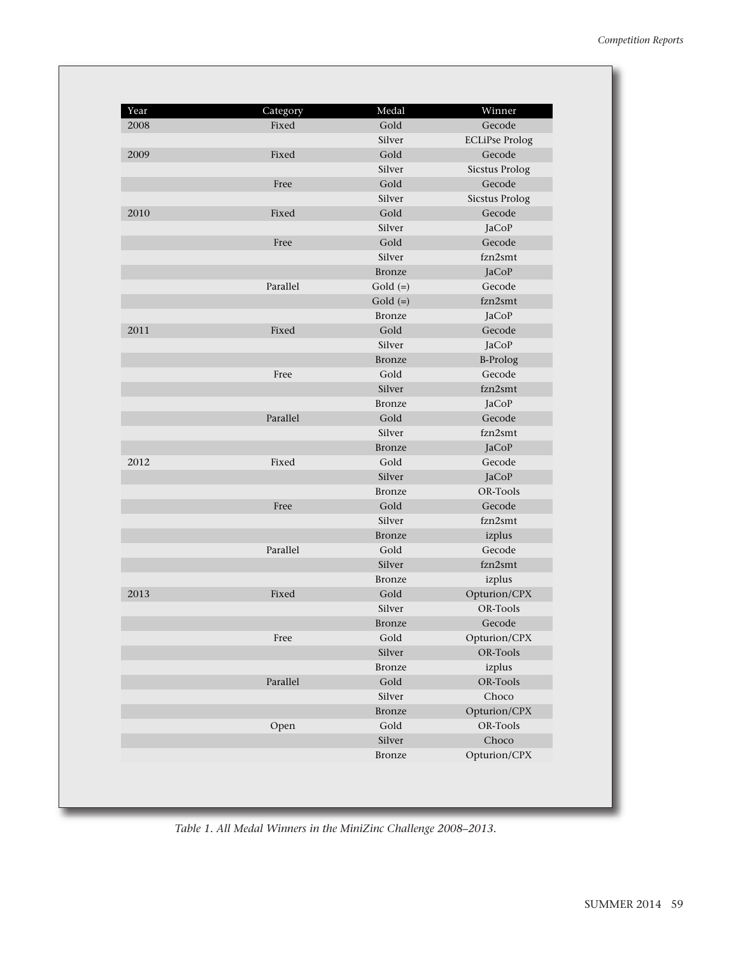| Year | Category | Medal         | Winner                |
|------|----------|---------------|-----------------------|
| 2008 | Fixed    | Gold          | Gecode                |
|      |          | Silver        | <b>ECLiPse Prolog</b> |
| 2009 | Fixed    | Gold          | Gecode                |
|      |          | Silver        | <b>Sicstus Prolog</b> |
|      | Free     | Gold          | Gecode                |
|      |          | Silver        | <b>Sicstus Prolog</b> |
| 2010 | Fixed    | Gold          | Gecode                |
|      |          | Silver        | <b>JaCoP</b>          |
|      | Free     | Gold          | Gecode                |
|      |          | Silver        | fzn2smt               |
|      |          | <b>Bronze</b> | JaCoP                 |
|      | Parallel | $Gold (=)$    | Gecode                |
|      |          | $Gold (=)$    | fzn2smt               |
|      |          | Bronze        | JaCoP                 |
| 2011 | Fixed    | Gold          | Gecode                |
|      |          | Silver        | JaCoP                 |
|      |          | <b>Bronze</b> | <b>B-Prolog</b>       |
|      | Free     | Gold          | Gecode                |
|      |          | Silver        | fzn2smt               |
|      |          | <b>Bronze</b> | JaCoP                 |
|      | Parallel | Gold          | Gecode                |
|      |          | Silver        | fzn2smt               |
|      |          | <b>Bronze</b> | JaCoP                 |
| 2012 | Fixed    | Gold          | Gecode                |
|      |          | Silver        | JaCoP                 |
|      |          | <b>Bronze</b> | OR-Tools              |
|      | Free     | Gold          | Gecode                |
|      |          | Silver        | fzn2smt               |
|      |          | <b>Bronze</b> | izplus                |
|      | Parallel | Gold          | Gecode                |
|      |          | Silver        | fzn2smt               |
|      |          | <b>Bronze</b> | izplus                |
| 2013 | Fixed    | Gold          | Opturion/CPX          |
|      |          | Silver        | OR-Tools              |
|      |          | <b>Bronze</b> | Gecode                |
|      | Free     | Gold          | Opturion/CPX          |
|      |          | Silver        | OR-Tools              |
|      |          | Bronze        | izplus                |
|      | Parallel | Gold          | OR-Tools              |
|      |          | Silver        | Choco                 |
|      |          | <b>Bronze</b> | Opturion/CPX          |
|      | Open     | Gold          | OR-Tools              |
|      |          | Silver        | Choco                 |
|      |          | Bronze        | Opturion/CPX          |
|      |          |               |                       |

*Table 1. All Medal Winners in the MiniZinc Challenge 2008–2013.*